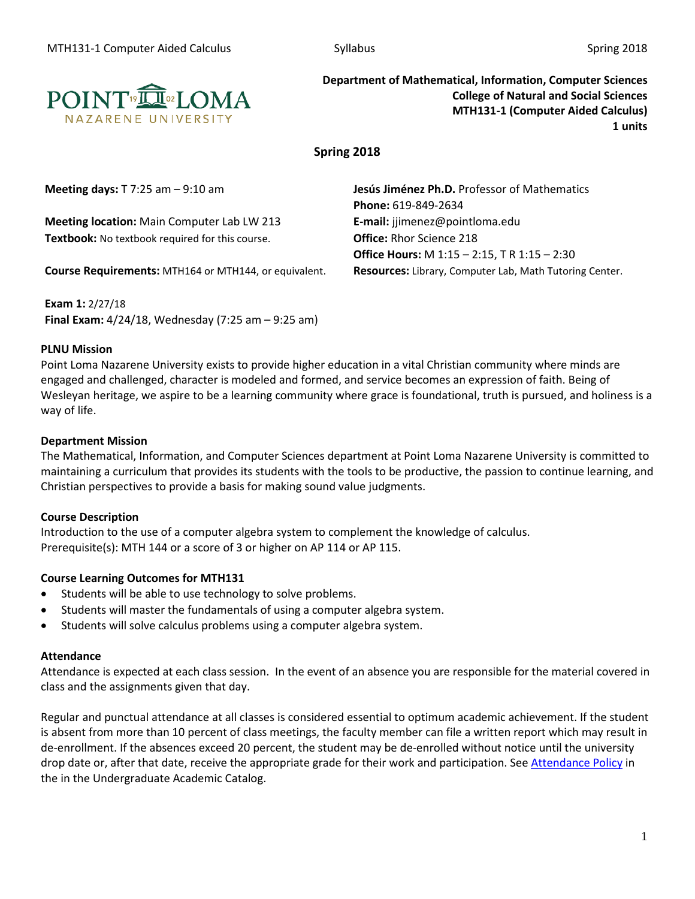

**Department of Mathematical, Information, Computer Sciences College of Natural and Social Sciences MTH131-1 (Computer Aided Calculus) 1 units**

**Spring 2018**

**Meeting location:** Main Computer Lab LW 213 **E-mail:** jjimenez@pointloma.edu **Textbook:** No textbook required for this course. **Office:** Rhor Science 218

**Course Requirements:** MTH164 or MTH144, or equivalent. **Resources:** Library, Computer Lab, Math Tutoring Center.

**Exam 1:** 2/27/18 **Final Exam:** 4/24/18, Wednesday (7:25 am – 9:25 am)

**Meeting days:** T 7:25 am – 9:10 am **Jesús Jiménez Ph.D.** Professor of Mathematics **Phone:** 619-849-2634 **Office Hours:** M 1:15 – 2:15, T R 1:15 – 2:30

#### **PLNU Mission**

Point Loma Nazarene University exists to provide higher education in a vital Christian community where minds are engaged and challenged, character is modeled and formed, and service becomes an expression of faith. Being of Wesleyan heritage, we aspire to be a learning community where grace is foundational, truth is pursued, and holiness is a way of life.

### **Department Mission**

The Mathematical, Information, and Computer Sciences department at Point Loma Nazarene University is committed to maintaining a curriculum that provides its students with the tools to be productive, the passion to continue learning, and Christian perspectives to provide a basis for making sound value judgments.

### **Course Description**

Introduction to the use of a computer algebra system to complement the knowledge of calculus. Prerequisite(s): MTH 144 or a score of 3 or higher on AP 114 or AP 115.

### **Course Learning Outcomes for MTH131**

- Students will be able to use technology to solve problems.
- Students will master the fundamentals of using a computer algebra system.
- Students will solve calculus problems using a computer algebra system.

#### **Attendance**

Attendance is expected at each class session. In the event of an absence you are responsible for the material covered in class and the assignments given that day.

Regular and punctual attendance at all classes is considered essential to optimum academic achievement. If the student is absent from more than 10 percent of class meetings, the faculty member can file a written report which may result in de-enrollment. If the absences exceed 20 percent, the student may be de-enrolled without notice until the university drop date or, after that date, receive the appropriate grade for their work and participation. See [Attendance Policy](https://catalog.pointloma.edu/content.php?catoid=28&navoid=1761#Class_Attendance) in the in the Undergraduate Academic Catalog.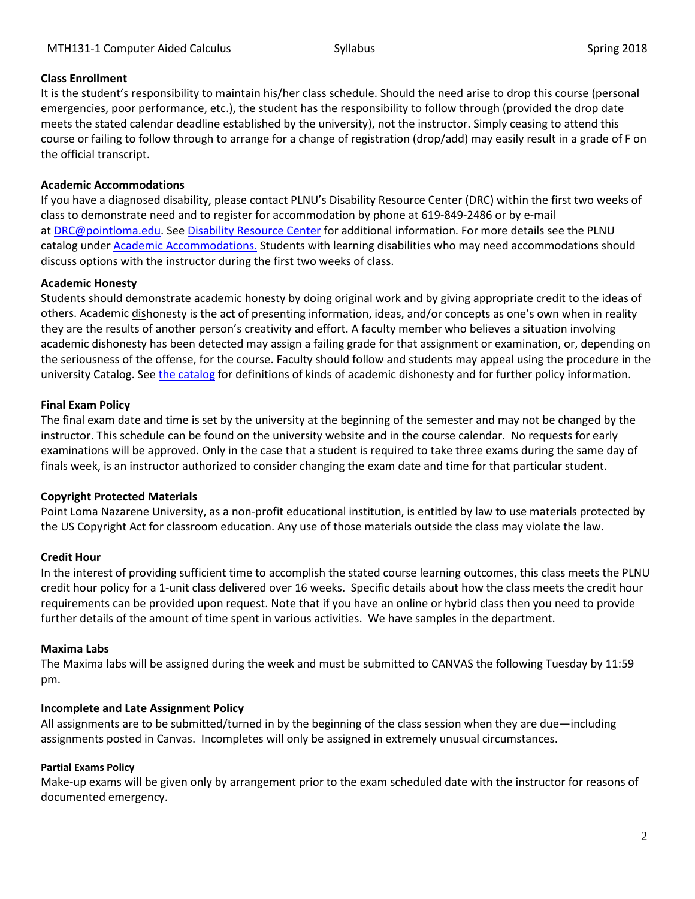### **Class Enrollment**

It is the student's responsibility to maintain his/her class schedule. Should the need arise to drop this course (personal emergencies, poor performance, etc.), the student has the responsibility to follow through (provided the drop date meets the stated calendar deadline established by the university), not the instructor. Simply ceasing to attend this course or failing to follow through to arrange for a change of registration (drop/add) may easily result in a grade of F on the official transcript.

### **Academic Accommodations**

If you have a diagnosed disability, please contact PLNU's Disability Resource Center (DRC) within the first two weeks of class to demonstrate need and to register for accommodation by phone at 619-849-2486 or by e-mail at [DRC@pointloma.edu.](mailto:DRC@pointloma.edu) See [Disability Resource Center](http://www.pointloma.edu/experience/offices/administrative-offices/academic-advising-office/disability-resource-center) for additional information. For more details see the PLNU catalog under [Academic Accommodations.](https://catalog.pointloma.edu/content.php?catoid=28&navoid=1761#Academic_Accommodations) Students with learning disabilities who may need accommodations should discuss options with the instructor during the first two weeks of class.

### **Academic Honesty**

Students should demonstrate academic honesty by doing original work and by giving appropriate credit to the ideas of others. Academic dishonesty is the act of presenting information, ideas, and/or concepts as one's own when in reality they are the results of another person's creativity and effort. A faculty member who believes a situation involving academic dishonesty has been detected may assign a failing grade for that assignment or examination, or, depending on the seriousness of the offense, for the course. Faculty should follow and students may appeal using the procedure in the university Catalog. Se[e the catalog](https://catalog.pointloma.edu/content.php?catoid=28&navoid=1761#Academic_Honesty) for definitions of kinds of academic dishonesty and for further policy information.

## **Final Exam Policy**

The final exam date and time is set by the university at the beginning of the semester and may not be changed by the instructor. This schedule can be found on the university website and in the course calendar. No requests for early examinations will be approved. Only in the case that a student is required to take three exams during the same day of finals week, is an instructor authorized to consider changing the exam date and time for that particular student.

## **Copyright Protected Materials**

Point Loma Nazarene University, as a non-profit educational institution, is entitled by law to use materials protected by the US Copyright Act for classroom education. Any use of those materials outside the class may violate the law.

## **Credit Hour**

In the interest of providing sufficient time to accomplish the stated course learning outcomes, this class meets the PLNU credit hour policy for a 1-unit class delivered over 16 weeks. Specific details about how the class meets the credit hour requirements can be provided upon request. Note that if you have an online or hybrid class then you need to provide further details of the amount of time spent in various activities. We have samples in the department.

### **Maxima Labs**

The Maxima labs will be assigned during the week and must be submitted to CANVAS the following Tuesday by 11:59 pm.

## **Incomplete and Late Assignment Policy**

All assignments are to be submitted/turned in by the beginning of the class session when they are due—including assignments posted in Canvas. Incompletes will only be assigned in extremely unusual circumstances.

### **Partial Exams Policy**

Make-up exams will be given only by arrangement prior to the exam scheduled date with the instructor for reasons of documented emergency.